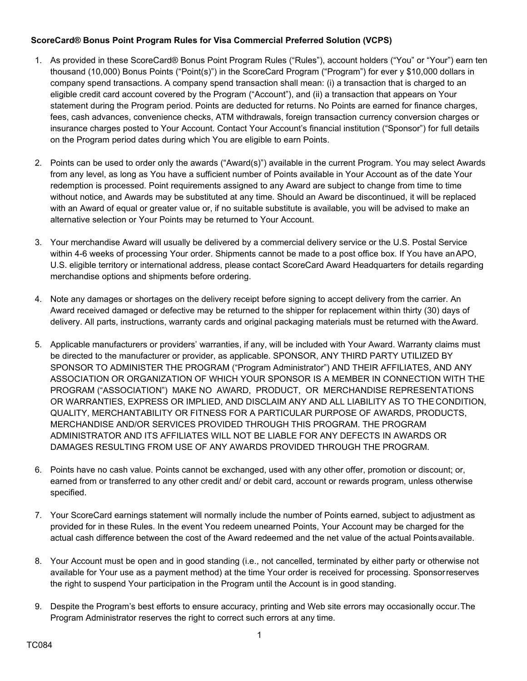## **ScoreCard® Bonus Point Program Rules for Visa Commercial Preferred Solution (VCPS)**

- 1. As provided in these ScoreCard® Bonus Point Program Rules ("Rules"), account holders ("You" or "Your") earn ten thousand (10,000) Bonus Points ("Point(s)") in the ScoreCard Program ("Program") for ever y \$10,000 dollars in company spend transactions. A company spend transaction shall mean: (i) a transaction that is charged to an eligible credit card account covered by the Program ("Account"), and (ii) a transaction that appears on Your statement during the Program period. Points are deducted for returns. No Points are earned for finance charges, fees, cash advances, convenience checks, ATM withdrawals, foreign transaction currency conversion charges or insurance charges posted to Your Account. Contact Your Account's financial institution ("Sponsor") for full details on the Program period dates during which You are eligible to earn Points.
- 2. Points can be used to order only the awards ("Award(s)") available in the current Program. You may select Awards from any level, as long as You have a sufficient number of Points available in Your Account as of the date Your redemption is processed. Point requirements assigned to any Award are subject to change from time to time without notice, and Awards may be substituted at any time. Should an Award be discontinued, it will be replaced with an Award of equal or greater value or, if no suitable substitute is available, you will be advised to make an alternative selection or Your Points may be returned to Your Account.
- 3. Your merchandise Award will usually be delivered by a commercial delivery service or the U.S. Postal Service within 4-6 weeks of processing Your order. Shipments cannot be made to a post office box. If You have anAPO, U.S. eligible territory or international address, please contact ScoreCard Award Headquarters for details regarding merchandise options and shipments before ordering.
- 4. Note any damages or shortages on the delivery receipt before signing to accept delivery from the carrier. An Award received damaged or defective may be returned to the shipper for replacement within thirty (30) days of delivery. All parts, instructions, warranty cards and original packaging materials must be returned with theAward.
- 5. Applicable manufacturers or providers' warranties, if any, will be included with Your Award. Warranty claims must be directed to the manufacturer or provider, as applicable. SPONSOR, ANY THIRD PARTY UTILIZED BY SPONSOR TO ADMINISTER THE PROGRAM ("Program Administrator") AND THEIR AFFILIATES, AND ANY ASSOCIATION OR ORGANIZATION OF WHICH YOUR SPONSOR IS A MEMBER IN CONNECTION WITH THE PROGRAM ("ASSOCIATION") MAKE NO AWARD, PRODUCT, OR MERCHANDISE REPRESENTATIONS OR WARRANTIES, EXPRESS OR IMPLIED, AND DISCLAIM ANY AND ALL LIABILITY AS TO THE CONDITION, QUALITY, MERCHANTABILITY OR FITNESS FOR A PARTICULAR PURPOSE OF AWARDS, PRODUCTS, MERCHANDISE AND/OR SERVICES PROVIDED THROUGH THIS PROGRAM. THE PROGRAM ADMINISTRATOR AND ITS AFFILIATES WILL NOT BE LIABLE FOR ANY DEFECTS IN AWARDS OR DAMAGES RESULTING FROM USE OF ANY AWARDS PROVIDED THROUGH THE PROGRAM.
- 6. Points have no cash value. Points cannot be exchanged, used with any other offer, promotion or discount; or, earned from or transferred to any other credit and/ or debit card, account or rewards program, unless otherwise specified.
- 7. Your ScoreCard earnings statement will normally include the number of Points earned, subject to adjustment as provided for in these Rules. In the event You redeem unearned Points, Your Account may be charged for the actual cash difference between the cost of the Award redeemed and the net value of the actual Pointsavailable.
- 8. Your Account must be open and in good standing (i.e., not cancelled, terminated by either party or otherwise not available for Your use as a payment method) at the time Your order is received for processing. Sponsorreserves the right to suspend Your participation in the Program until the Account is in good standing.
- 9. Despite the Program's best efforts to ensure accuracy, printing and Web site errors may occasionally occur.The Program Administrator reserves the right to correct such errors at any time.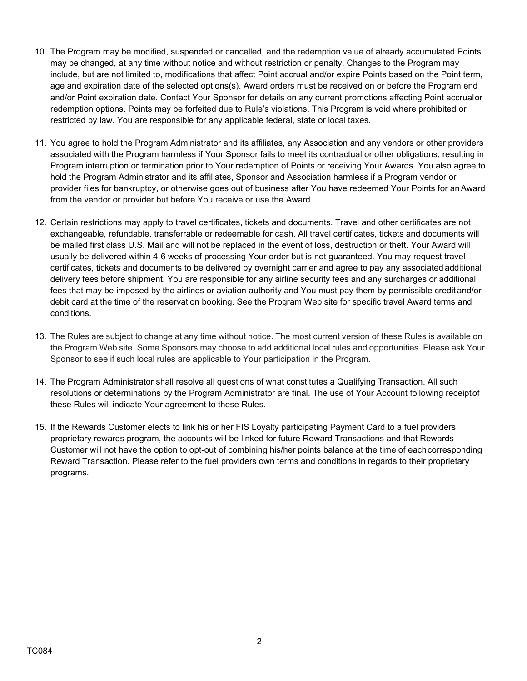- 10. The Program may be modified, suspended or cancelled, and the redemption value of already accumulated Points may be changed, at any time without notice and without restriction or penalty. Changes to the Program may include, but are not limited to, modifications that affect Point accrual and/or expire Points based on the Point term, age and expiration date of the selected options(s). Award orders must be received on or before the Program end and/or Point expiration date. Contact Your Sponsor for details on any current promotions affecting Point accrualor redemption options. Points may be forfeited due to Rule's violations. This Program is void where prohibited or restricted by law. You are responsible for any applicable federal, state or local taxes.
- 11. You agree to hold the Program Administrator and its affiliates, any Association and any vendors or other providers associated with the Program harmless if Your Sponsor fails to meet its contractual or other obligations, resulting in Program interruption or termination prior to Your redemption of Points or receiving Your Awards. You also agree to hold the Program Administrator and its affiliates, Sponsor and Association harmless if a Program vendor or provider files for bankruptcy, or otherwise goes out of business after You have redeemed Your Points for anAward from the vendor or provider but before You receive or use the Award.
- 12. Certain restrictions may apply to travel certificates, tickets and documents. Travel and other certificates are not exchangeable, refundable, transferrable or redeemable for cash. All travel certificates, tickets and documents will be mailed first class U.S. Mail and will not be replaced in the event of loss, destruction or theft. Your Award will usually be delivered within 4-6 weeks of processing Your order but is not guaranteed. You may request travel certificates, tickets and documents to be delivered by overnight carrier and agree to pay any associated additional delivery fees before shipment. You are responsible for any airline security fees and any surcharges or additional fees that may be imposed by the airlines or aviation authority and You must pay them by permissible credit and/or debit card at the time of the reservation booking. See the Program Web site for specific travel Award terms and conditions.
- 13. The Rules are subject to change at any time without notice. The most current version of these Rules is available on the Program Web site. Some Sponsors may choose to add additional local rules and opportunities. Please ask Your Sponsor to see if such local rules are applicable to Your participation in the Program.
- 14. The Program Administrator shall resolve all questions of what constitutes a Qualifying Transaction. All such resolutions or determinations by the Program Administrator are final. The use of Your Account following receiptof these Rules will indicate Your agreement to these Rules.
- 15. If the Rewards Customer elects to link his or her FIS Loyalty participating Payment Card to a fuel providers proprietary rewards program, the accounts will be linked for future Reward Transactions and that Rewards Customer will not have the option to opt-out of combining his/her points balance at the time of eachcorresponding Reward Transaction. Please refer to the fuel providers own terms and conditions in regards to their proprietary programs.